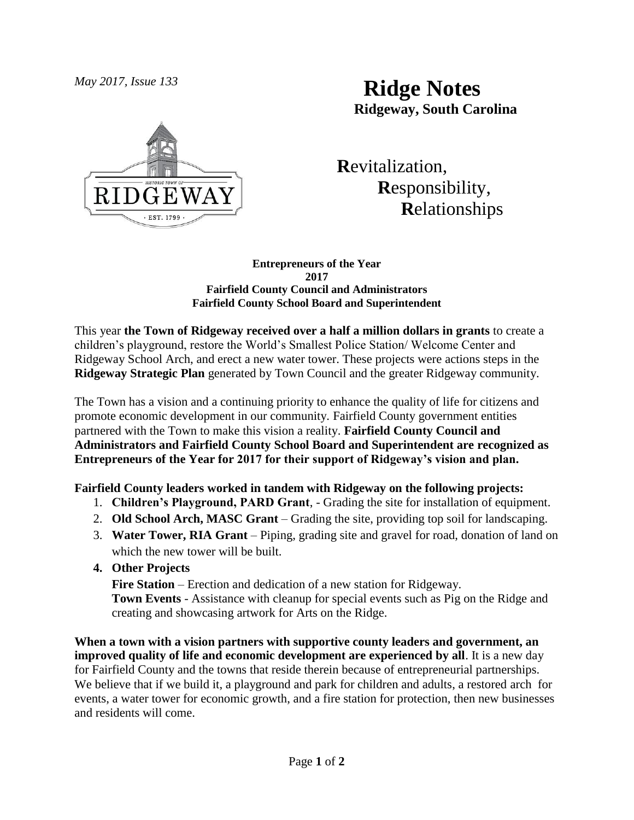

# *May 2017, Issue 133* **Ridge Notes Ridgeway, South Carolina**

 **R**evitalization,  **R**esponsibility,  **R**elationships

#### **Entrepreneurs of the Year 2017 Fairfield County Council and Administrators Fairfield County School Board and Superintendent**

This year **the Town of Ridgeway received over a half a million dollars in grants** to create a children's playground, restore the World's Smallest Police Station/ Welcome Center and Ridgeway School Arch, and erect a new water tower. These projects were actions steps in the **Ridgeway Strategic Plan** generated by Town Council and the greater Ridgeway community.

The Town has a vision and a continuing priority to enhance the quality of life for citizens and promote economic development in our community. Fairfield County government entities partnered with the Town to make this vision a reality. **Fairfield County Council and Administrators and Fairfield County School Board and Superintendent are recognized as Entrepreneurs of the Year for 2017 for their support of Ridgeway's vision and plan.** 

# **Fairfield County leaders worked in tandem with Ridgeway on the following projects:**

- 1. **Children's Playground, PARD Grant**, Grading the site for installation of equipment.
- 2. **Old School Arch, MASC Grant**  Grading the site, providing top soil for landscaping.
- 3. **Water Tower, RIA Grant** Piping, grading site and gravel for road, donation of land on which the new tower will be built.

# **4. Other Projects**

**Fire Station** – Erection and dedication of a new station for Ridgeway. **Town Events** - Assistance with cleanup for special events such as Pig on the Ridge and creating and showcasing artwork for Arts on the Ridge.

**When a town with a vision partners with supportive county leaders and government, an improved quality of life and economic development are experienced by all**. It is a new day for Fairfield County and the towns that reside therein because of entrepreneurial partnerships. We believe that if we build it, a playground and park for children and adults, a restored arch for events, a water tower for economic growth, and a fire station for protection, then new businesses and residents will come.